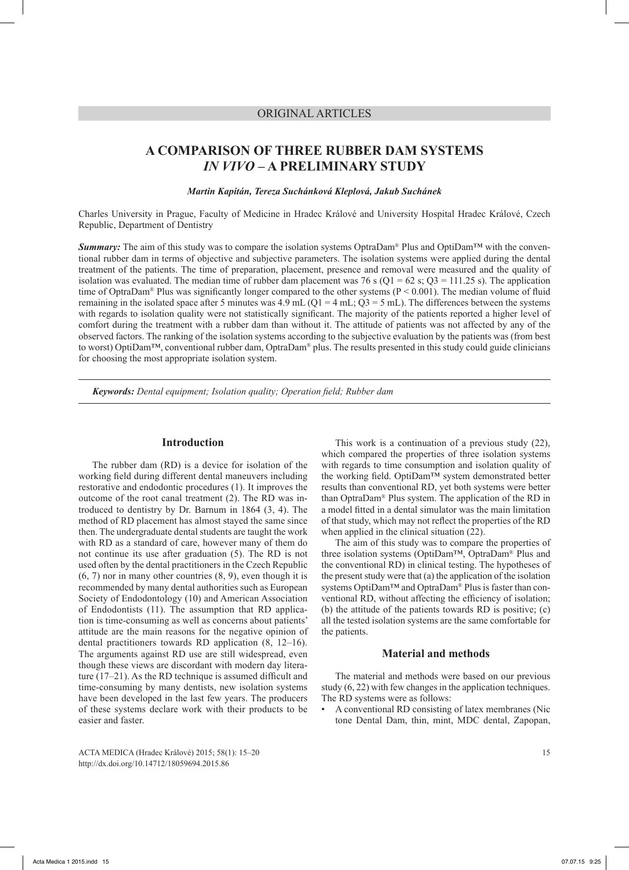# ORIGINAL ARTICLES

# **A COMPARISON OF THREE RUBBER DAM SYSTEMS**  *IN VIVO* **– A PRELIMINARY STUDY**

*Martin Kapitán, Tereza Suchánková Kleplová, Jakub Suchánek*

Charles University in Prague, Faculty of Medicine in Hradec Králové and University Hospital Hradec Králové, Czech Republic, Department of Dentistry

*Summary:* The aim of this study was to compare the isolation systems OptraDam® Plus and OptiDam™ with the conventional rubber dam in terms of objective and subjective parameters. The isolation systems were applied during the dental treatment of the patients. The time of preparation, placement, presence and removal were measured and the quality of isolation was evaluated. The median time of rubber dam placement was 76 s (Q1 = 62 s; Q3 = 111.25 s). The application time of OptraDam® Plus was significantly longer compared to the other systems ( $P < 0.001$ ). The median volume of fluid remaining in the isolated space after 5 minutes was 4.9 mL ( $Q1 = 4$  mL;  $Q3 = 5$  mL). The differences between the systems with regards to isolation quality were not statistically significant. The majority of the patients reported a higher level of comfort during the treatment with a rubber dam than without it. The attitude of patients was not affected by any of the observed factors. The ranking of the isolation systems according to the subjective evaluation by the patients was (from best to worst) OptiDam™, conventional rubber dam, OptraDam® plus. The results presented in this study could guide clinicians for choosing the most appropriate isolation system.

*Keywords: Dental equipment; Isolation quality; Operation field; Rubber dam*

# **Introduction**

The rubber dam (RD) is a device for isolation of the working field during different dental maneuvers including restorative and endodontic procedures (1). It improves the outcome of the root canal treatment (2). The RD was introduced to dentistry by Dr. Barnum in 1864 (3, 4). The method of RD placement has almost stayed the same since then. The undergraduate dental students are taught the work with RD as a standard of care, however many of them do not continue its use after graduation (5). The RD is not used often by the dental practitioners in the Czech Republic (6, 7) nor in many other countries (8, 9), even though it is recommended by many dental authorities such as European Society of Endodontology (10) and American Association of Endodontists (11). The assumption that RD application is time-consuming as well as concerns about patients' attitude are the main reasons for the negative opinion of dental practitioners towards RD application (8, 12–16). The arguments against RD use are still widespread, even though these views are discordant with modern day literature (17–21). As the RD technique is assumed difficult and time-consuming by many dentists, new isolation systems have been developed in the last few years. The producers of these systems declare work with their products to be easier and faster.

ACTA MEDICA (Hradec Králové) 2015; 58(1): 15–20 15 http://dx.doi.org/10.14712/18059694.2015.86

This work is a continuation of a previous study (22), which compared the properties of three isolation systems with regards to time consumption and isolation quality of the working field. OptiDam™ system demonstrated better results than conventional RD, yet both systems were better than OptraDam® Plus system. The application of the RD in a model fitted in a dental simulator was the main limitation of that study, which may not reflect the properties of the RD when applied in the clinical situation (22).

The aim of this study was to compare the properties of three isolation systems (OptiDam™, OptraDam® Plus and the conventional RD) in clinical testing. The hypotheses of the present study were that (a) the application of the isolation systems OptiDam™ and OptraDam® Plus is faster than conventional RD, without affecting the efficiency of isolation; (b) the attitude of the patients towards RD is positive; (c) all the tested isolation systems are the same comfortable for the patients.

# **Material and methods**

The material and methods were based on our previous study (6, 22) with few changes in the application techniques. The RD systems were as follows:

• A conventional RD consisting of latex membranes (Nic tone Dental Dam, thin, mint, MDC dental, Zapopan,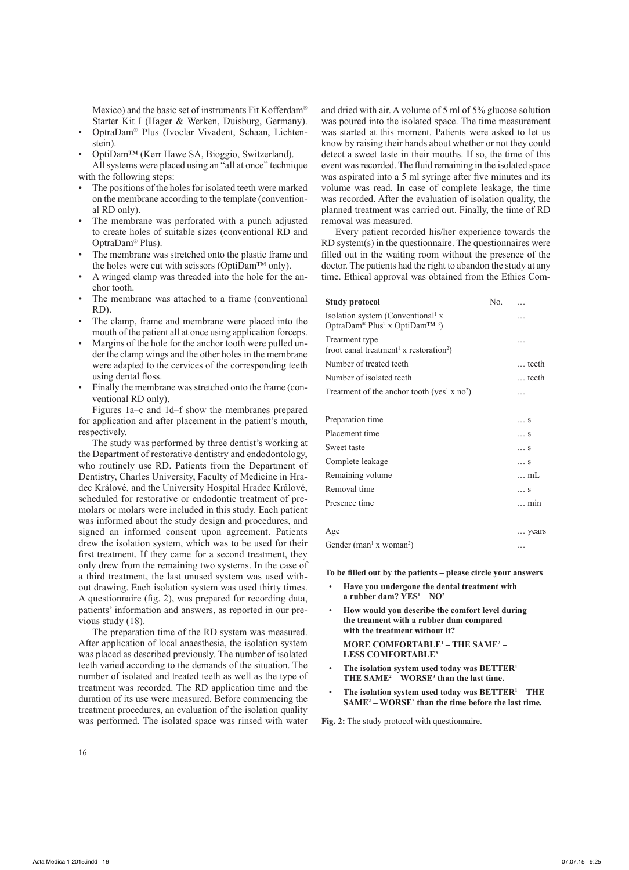Mexico) and the basic set of instruments Fit Kofferdam® Starter Kit I (Hager & Werken, Duisburg, Germany).

- OptraDam® Plus (Ivoclar Vivadent, Schaan, Lichtenstein).
- OptiDam™ (Kerr Hawe SA, Bioggio, Switzerland).

All systems were placed using an "all at once" technique with the following steps:

- The positions of the holes for isolated teeth were marked on the membrane according to the template (conventional RD only).
- The membrane was perforated with a punch adjusted to create holes of suitable sizes (conventional RD and OptraDam® Plus).
- The membrane was stretched onto the plastic frame and the holes were cut with scissors (OptiDam™ only).
- A winged clamp was threaded into the hole for the anchor tooth.
- The membrane was attached to a frame (conventional RD).
- The clamp, frame and membrane were placed into the mouth of the patient all at once using application forceps.
- Margins of the hole for the anchor tooth were pulled under the clamp wings and the other holes in the membrane were adapted to the cervices of the corresponding teeth using dental floss.
- Finally the membrane was stretched onto the frame (conventional RD only).

Figures 1a–c and 1d–f show the membranes prepared for application and after placement in the patient's mouth, respectively.

The study was performed by three dentist's working at the Department of restorative dentistry and endodontology, who routinely use RD. Patients from the Department of Dentistry, Charles University, Faculty of Medicine in Hradec Králové, and the University Hospital Hradec Králové, scheduled for restorative or endodontic treatment of premolars or molars were included in this study. Each patient was informed about the study design and procedures, and signed an informed consent upon agreement. Patients drew the isolation system, which was to be used for their first treatment. If they came for a second treatment, they only drew from the remaining two systems. In the case of a third treatment, the last unused system was used without drawing. Each isolation system was used thirty times. A questionnaire (fig. 2), was prepared for recording data, patients' information and answers, as reported in our previous study (18).

The preparation time of the RD system was measured. After application of local anaesthesia, the isolation system was placed as described previously. The number of isolated teeth varied according to the demands of the situation. The number of isolated and treated teeth as well as the type of treatment was recorded. The RD application time and the duration of its use were measured. Before commencing the treatment procedures, an evaluation of the isolation quality was performed. The isolated space was rinsed with water

and dried with air. A volume of 5 ml of 5% glucose solution was poured into the isolated space. The time measurement was started at this moment. Patients were asked to let us know by raising their hands about whether or not they could detect a sweet taste in their mouths. If so, the time of this event was recorded. The fluid remaining in the isolated space was aspirated into a 5 ml syringe after five minutes and its volume was read. In case of complete leakage, the time was recorded. After the evaluation of isolation quality, the planned treatment was carried out. Finally, the time of RD removal was measured.

Every patient recorded his/her experience towards the RD system(s) in the questionnaire. The questionnaires were filled out in the waiting room without the presence of the doctor. The patients had the right to abandon the study at any time. Ethical approval was obtained from the Ethics Com-

| Study protocol                                                                                           | No. | $\ddotsc$      |
|----------------------------------------------------------------------------------------------------------|-----|----------------|
| Isolation system (Conventional <sup>1</sup> x<br>OptraDam® Plus <sup>2</sup> x OptiDam <sup>TM 3</sup> ) |     | .              |
| Treatment type<br>(root canal treatment <sup>1</sup> x restoration <sup>2</sup> )                        |     | .              |
| Number of treated teeth                                                                                  |     | $\ldots$ teeth |
| Number of isolated teeth                                                                                 |     | $\ldots$ teeth |
| Treatment of the anchor tooth (yes <sup>1</sup> x no <sup>2</sup> )                                      |     | .              |
|                                                                                                          |     |                |
| Preparation time                                                                                         |     | S              |
| Placement time                                                                                           |     | S              |
| Sweet taste                                                                                              |     | S              |
| Complete leakage                                                                                         |     | S              |
| Remaining volume                                                                                         |     | mL             |
| Removal time                                                                                             |     | S              |
| Presence time                                                                                            |     | $\ldots$ min   |
|                                                                                                          |     |                |

# Age measured by the set of the set of the set of the set of the set of the set of the set of the set of the set of the set of the set of the set of the set of the set of the set of the set of the set of the set of the set

Gender (man<sup>1</sup> x woman<sup>2</sup>  $\left( \begin{array}{ccc} 0 & \cdots & \cdots & \cdots \end{array} \right)$ 

**To be filled out by the patients – please circle your answers**

- **Have you undergone the dental treatment with a rubber dam? YES<sup>1</sup> – NO2**
- **How would you describe the comfort level during the treament with a rubber dam compared with the treatment without it? MORE COMFORTABLE<sup>1</sup> – THE SAME2 – LESS COMFORTABLE<sup>3</sup>**
- **The isolation system used today was BETTER1 THE SAME2 – WORSE<sup>3</sup> than the last time.**
- **The isolation system used today was BETTER1 THE SAME2 – WORSE<sup>3</sup> than the time before the last time.**

**Fig. 2:** The study protocol with questionnaire.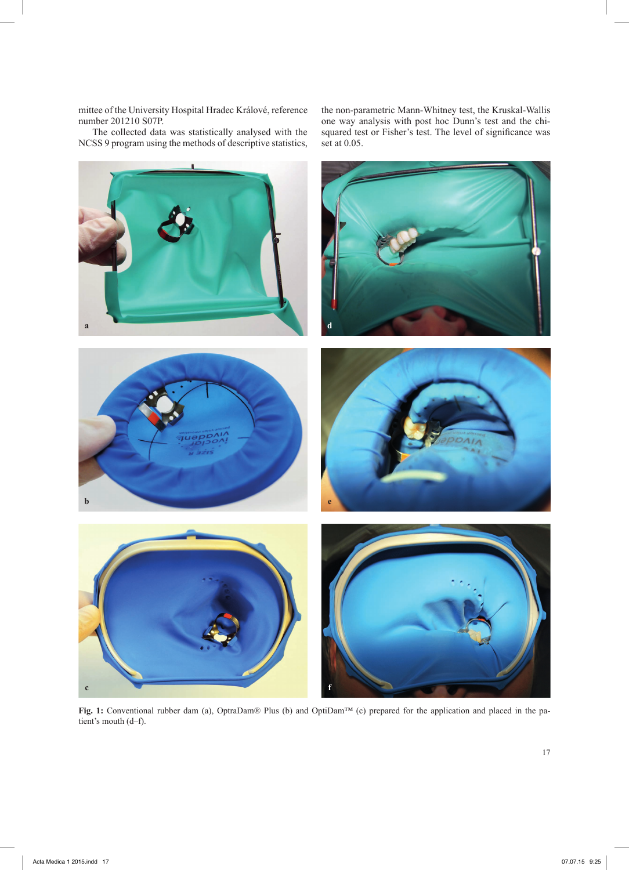mittee of the University Hospital Hradec Králové, reference number 201210 S07P.

The collected data was statistically analysed with the NCSS 9 program using the methods of descriptive statistics,

the non-parametric Mann-Whitney test, the Kruskal-Wallis one way analysis with post hoc Dunn's test and the chisquared test or Fisher's test. The level of significance was set at 0.05.



**Fig. 1:** Conventional rubber dam (a), OptraDam® Plus (b) and OptiDam™ (c) prepared for the application and placed in the patient's mouth (d–f).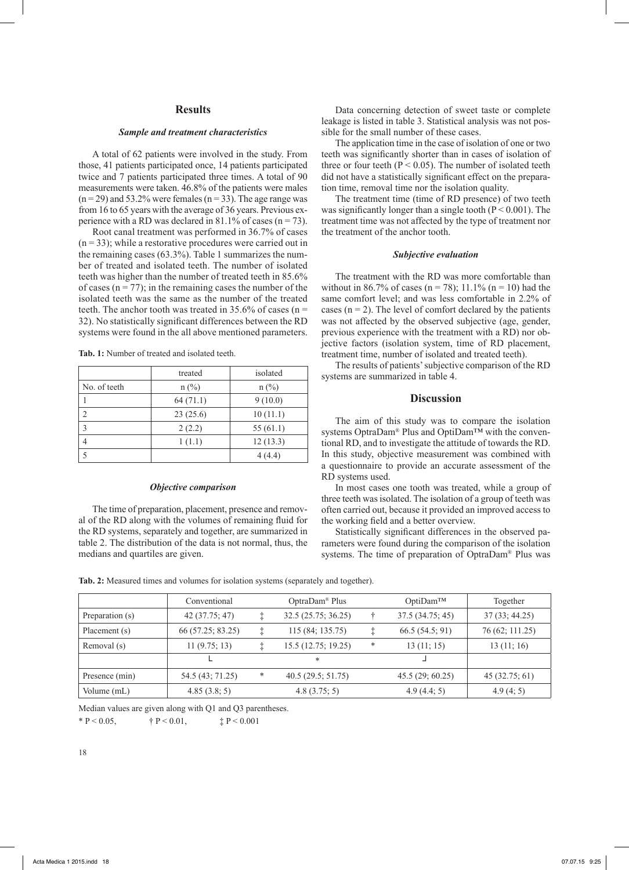# **Results**

#### *Sample and treatment characteristics*

A total of 62 patients were involved in the study. From those, 41 patients participated once, 14 patients participated twice and 7 patients participated three times. A total of 90 measurements were taken. 46.8% of the patients were males  $(n=29)$  and 53.2% were females  $(n=33)$ . The age range was from 16 to 65 years with the average of 36 years. Previous experience with a RD was declared in 81.1% of cases ( $n = 73$ ).

Root canal treatment was performed in 36.7% of cases  $(n = 33)$ ; while a restorative procedures were carried out in the remaining cases (63.3%). Table 1 summarizes the number of treated and isolated teeth. The number of isolated teeth was higher than the number of treated teeth in 85.6% of cases ( $n = 77$ ); in the remaining cases the number of the isolated teeth was the same as the number of the treated teeth. The anchor tooth was treated in 35.6% of cases ( $n =$ 32). No statistically significant differences between the RD systems were found in the all above mentioned parameters.

|                | treated  | isolated    |  |
|----------------|----------|-------------|--|
| No. of teeth   | $n$ (%)  | $n$ (%)     |  |
|                | 64(71.1) | 9(10.0)     |  |
| $\overline{2}$ | 23(25.6) | 10(11.1)    |  |
| 3              | 2(2.2)   | 55 $(61.1)$ |  |
| 4              | 1(1.1)   | 12(13.3)    |  |
| 5              |          | 4(4.4)      |  |

**Tab. 1:** Number of treated and isolated teeth.

#### *Objective comparison*

The time of preparation, placement, presence and removal of the RD along with the volumes of remaining fluid for the RD systems, separately and together, are summarized in table 2. The distribution of the data is not normal, thus, the medians and quartiles are given.

Data concerning detection of sweet taste or complete leakage is listed in table 3. Statistical analysis was not possible for the small number of these cases.

The application time in the case of isolation of one or two teeth was significantly shorter than in cases of isolation of three or four teeth ( $P < 0.05$ ). The number of isolated teeth did not have a statistically significant effect on the preparation time, removal time nor the isolation quality.

The treatment time (time of RD presence) of two teeth was significantly longer than a single tooth ( $P < 0.001$ ). The treatment time was not affected by the type of treatment nor the treatment of the anchor tooth.

#### *Subjective evaluation*

The treatment with the RD was more comfortable than without in 86.7% of cases (n = 78); 11.1% (n = 10) had the same comfort level; and was less comfortable in 2.2% of cases  $(n = 2)$ . The level of comfort declared by the patients was not affected by the observed subjective (age, gender, previous experience with the treatment with a RD) nor objective factors (isolation system, time of RD placement, treatment time, number of isolated and treated teeth).

The results of patients' subjective comparison of the RD systems are summarized in table 4.

# **Discussion**

The aim of this study was to compare the isolation systems OptraDam<sup>®</sup> Plus and OptiDam™ with the conventional RD, and to investigate the attitude of towards the RD. In this study, objective measurement was combined with a questionnaire to provide an accurate assessment of the RD systems used.

In most cases one tooth was treated, while a group of three teeth was isolated. The isolation of a group of teeth was often carried out, because it provided an improved access to the working field and a better overview.

Statistically significant differences in the observed parameters were found during the comparison of the isolation systems. The time of preparation of OptraDam® Plus was

|                 | OptraDam <sup>®</sup> Plus<br>Conventional |   |                     | OptiDam™ | Together        |                 |
|-----------------|--------------------------------------------|---|---------------------|----------|-----------------|-----------------|
| Preparation (s) | 42(37.75; 47)                              |   | 32.5 (25.75; 36.25) |          | 37.5(34.75; 45) | 37(33; 44.25)   |
| Placement (s)   | 66 (57.25; 83.25)                          |   | 115 (84; 135.75)    |          | 66.5(54.5; 91)  | 76 (62; 111.25) |
| Removal (s)     | 11(9.75; 13)                               |   | 15.5 (12.75; 19.25) | ∗        | 13(11; 15)      | 13(11; 16)      |
|                 |                                            |   | *                   |          |                 |                 |
| Presence (min)  | 54.5 (43; 71.25)                           | * | 40.5(29.5; 51.75)   |          | 45.5(29; 60.25) | 45(32.75; 61)   |
| Volume (mL)     | 4.85(3.8; 5)                               |   | 4.8(3.75; 5)        |          | 4.9(4.4; 5)     | 4.9(4; 5)       |

**Tab. 2:** Measured times and volumes for isolation systems (separately and together).

Median values are given along with Q1 and Q3 parentheses.

\* P < 0.05,  $\qquad \qquad$  † P < 0.01,  $\qquad \qquad$   $\qquad \qquad$  † P < 0.001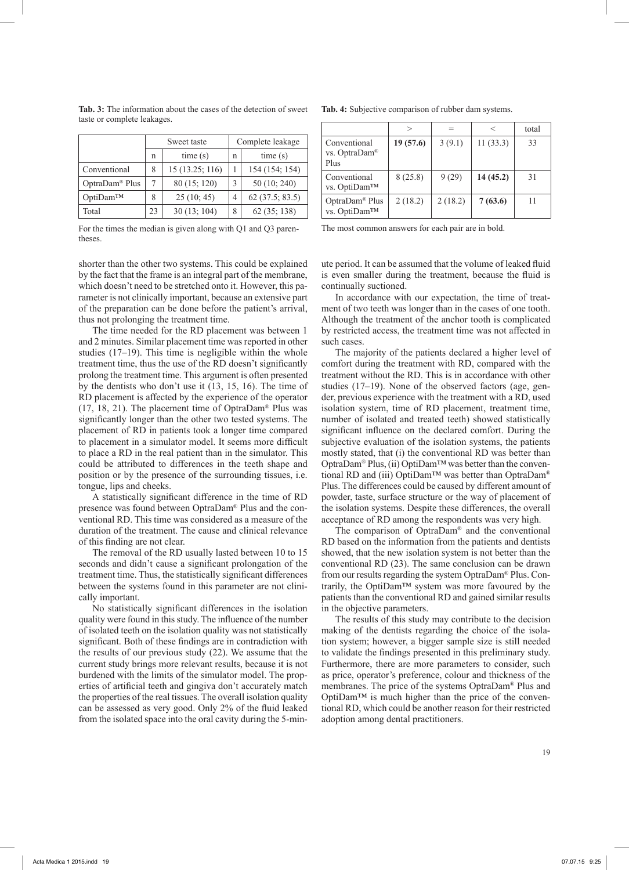|                | Sweet taste |                 | Complete leakage |                   |  |
|----------------|-------------|-----------------|------------------|-------------------|--|
|                | n           | time(s)         | n                | time(s)           |  |
| Conventional   | 8           | 15 (13.25; 116) |                  | 154 (154; 154)    |  |
| OptraDam® Plus |             | 80 (15; 120)    |                  | 50 (10; 240)      |  |
| OptiDam™       | 8           | 25(10; 45)      | 4                | $62$ (37.5; 83.5) |  |
| Total          | 23          | 30(13; 104)     | 8                | 62 (35; 138)      |  |

**Tab. 3:** The information about the cases of the detection of sweet taste or complete leakages.

For the times the median is given along with Q1 and Q3 parentheses.

shorter than the other two systems. This could be explained by the fact that the frame is an integral part of the membrane, which doesn't need to be stretched onto it. However, this parameter is not clinically important, because an extensive part of the preparation can be done before the patient's arrival, thus not prolonging the treatment time.

The time needed for the RD placement was between 1 and 2 minutes. Similar placement time was reported in other studies (17–19). This time is negligible within the whole treatment time, thus the use of the RD doesn't significantly prolong the treatment time. This argument is often presented by the dentists who don't use it (13, 15, 16). The time of RD placement is affected by the experience of the operator (17, 18, 21). The placement time of OptraDam® Plus was significantly longer than the other two tested systems. The placement of RD in patients took a longer time compared to placement in a simulator model. It seems more difficult to place a RD in the real patient than in the simulator. This could be attributed to differences in the teeth shape and position or by the presence of the surrounding tissues, i.e. tongue, lips and cheeks.

A statistically significant difference in the time of RD presence was found between OptraDam® Plus and the conventional RD. This time was considered as a measure of the duration of the treatment. The cause and clinical relevance of this finding are not clear.

The removal of the RD usually lasted between 10 to 15 seconds and didn't cause a significant prolongation of the treatment time. Thus, the statistically significant differences between the systems found in this parameter are not clinically important.

No statistically significant differences in the isolation quality were found in this study. The influence of the number of isolated teeth on the isolation quality was not statistically significant. Both of these findings are in contradiction with the results of our previous study (22). We assume that the current study brings more relevant results, because it is not burdened with the limits of the simulator model. The properties of artificial teeth and gingiva don't accurately match the properties of the real tissues. The overall isolation quality can be assessed as very good. Only 2% of the fluid leaked from the isolated space into the oral cavity during the 5-min-

|  |  | Tab. 4: Subjective comparison of rubber dam systems. |
|--|--|------------------------------------------------------|
|  |  |                                                      |

|                                                   |          | $=$     | $\,<\,$  | total |
|---------------------------------------------------|----------|---------|----------|-------|
| Conventional<br>vs. OptraDam <sup>®</sup><br>Plus | 19(57.6) | 3(9.1)  | 11(33.3) | 33    |
| Conventional<br>vs. OptiDam™                      | 8(25.8)  | 9(29)   | 14(45.2) | 31    |
| OptraDam <sup>®</sup> Plus<br>vs. OptiDam™        | 2(18.2)  | 2(18.2) | 7(63.6)  |       |

The most common answers for each pair are in bold.

ute period. It can be assumed that the volume of leaked fluid is even smaller during the treatment, because the fluid is continually suctioned.

In accordance with our expectation, the time of treatment of two teeth was longer than in the cases of one tooth. Although the treatment of the anchor tooth is complicated by restricted access, the treatment time was not affected in such cases.

The majority of the patients declared a higher level of comfort during the treatment with RD, compared with the treatment without the RD. This is in accordance with other studies (17–19). None of the observed factors (age, gender, previous experience with the treatment with a RD, used isolation system, time of RD placement, treatment time, number of isolated and treated teeth) showed statistically significant influence on the declared comfort. During the subjective evaluation of the isolation systems, the patients mostly stated, that (i) the conventional RD was better than OptraDam® Plus, (ii) OptiDam™ was better than the conventional RD and (iii) OptiDam™ was better than OptraDam® Plus. The differences could be caused by different amount of powder, taste, surface structure or the way of placement of the isolation systems. Despite these differences, the overall acceptance of RD among the respondents was very high.

The comparison of OptraDam® and the conventional RD based on the information from the patients and dentists showed, that the new isolation system is not better than the conventional RD (23). The same conclusion can be drawn from our results regarding the system OptraDam® Plus. Contrarily, the OptiDam™ system was more favoured by the patients than the conventional RD and gained similar results in the objective parameters.

The results of this study may contribute to the decision making of the dentists regarding the choice of the isolation system; however, a bigger sample size is still needed to validate the findings presented in this preliminary study. Furthermore, there are more parameters to consider, such as price, operator's preference, colour and thickness of the membranes. The price of the systems OptraDam® Plus and OptiDam™ is much higher than the price of the conventional RD, which could be another reason for their restricted adoption among dental practitioners.